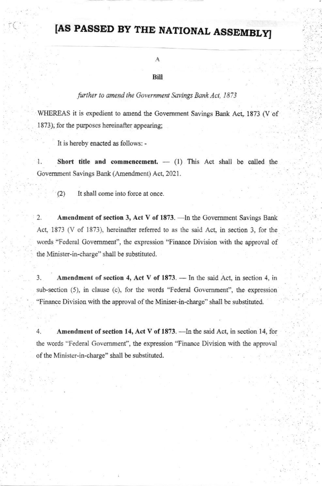## **JAS PASSED BY THE NATIONAL ASSEMBLY**

## **Bill**

A

## further to amend the Government Savings Bank Act, 1873

WHEREAS it is expedient to amend the Government Savings Bank Act, 1873 (V of 1873), for the purposes hereinafter appearing:

It is hereby enacted as follows: -

Short title and commencement.  $-$  (1) This Act shall be called the  $\cdot$ Government Savings Bank (Amendment) Act, 2021.

 $(2)$ It shall come into force at once.

Amendment of section 3, Act V of 1873. - In the Government Savings Bank  $\overline{2}$ . Act, 1873 (V of 1873), hereinafter referred to as the said Act, in section 3, for the words "Federal Government", the expression "Finance Division with the approval of the Minister-in-charge" shall be substituted.

3. Amendment of section 4, Act V of 1873. - In the said Act, in section 4, in sub-section (5), in clause (c), for the words "Federal Government", the expression "Finance Division with the approval of the Miniser-in-charge" shall be substituted.

 $4.$ Amendment of section 14, Act V of 1873. - In the said Act, in section 14, for the words "Federal Government", the expression "Finance Division with the approval of the Minister-in-charge" shall be substituted.